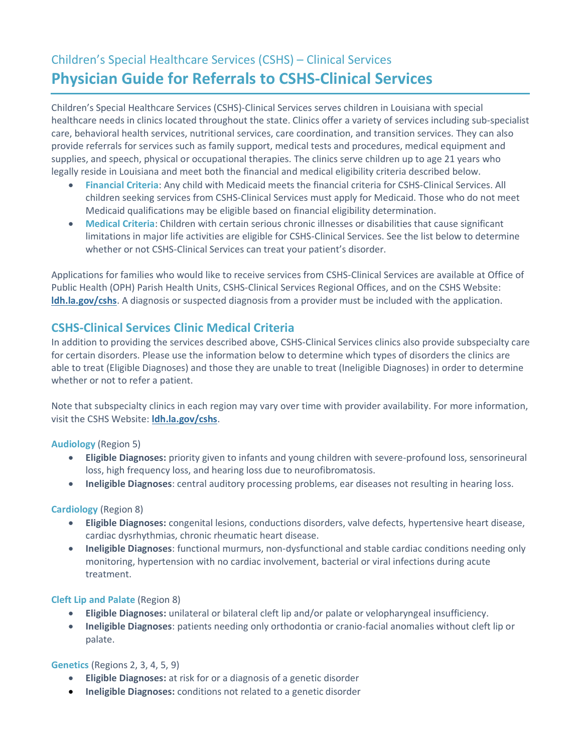# Children's Special Healthcare Services (CSHS) – Clinical Services **Physician Guide for Referrals to CSHS-Clinical Services**

Children's Special Healthcare Services (CSHS)-Clinical Services serves children in Louisiana with special healthcare needs in clinics located throughout the state. Clinics offer a variety of services including sub-specialist care, behavioral health services, nutritional services, care coordination, and transition services. They can also provide referrals for services such as family support, medical tests and procedures, medical equipment and supplies, and speech, physical or occupational therapies. The clinics serve children up to age 21 years who legally reside in Louisiana and meet both the financial and medical eligibility criteria described below.

- **Financial Criteria**: Any child with Medicaid meets the financial criteria for CSHS-Clinical Services. All children seeking services from CSHS-Clinical Services must apply for Medicaid. Those who do not meet Medicaid qualifications may be eligible based on financial eligibility determination.
- **Medical Criteria**: Children with certain serious chronic illnesses or disabilities that cause significant limitations in major life activities are eligible for CSHS-Clinical Services. See the list below to determine whether or not CSHS-Clinical Services can treat your patient's disorder.

Applications for families who would like to receive services from CSHS-Clinical Services are available at Office of Public Health (OPH) Parish Health Units, CSHS-Clinical Services Regional Offices, and on the CSHS Website: **[ldh.la.gov/cshs](https://ldh.la.gov/assets/oph/Center-PHCH/Center-PH/cshs/CSHS_Application_2020_Fillable.doc.pdf)**. A diagnosis or suspected diagnosis from a provider must be included with the application.

# **CSHS-Clinical Services Clinic Medical Criteria**

In addition to providing the services described above, CSHS-Clinical Services clinics also provide subspecialty care for certain disorders. Please use the information below to determine which types of disorders the clinics are able to treat (Eligible Diagnoses) and those they are unable to treat (Ineligible Diagnoses) in order to determine whether or not to refer a patient.

Note that subspecialty clinics in each region may vary over time with provider availability. For more information, visit the CSHS Website: **[ldh.la.gov/cshs](http://ldh.la.gov/cshs)**.

# **Audiology** (Region 5)

- **Eligible Diagnoses:** priority given to infants and young children with severe-profound loss, sensorineural loss, high frequency loss, and hearing loss due to neurofibromatosis.
- **Ineligible Diagnoses**: central auditory processing problems, ear diseases not resulting in hearing loss.

# **Cardiology** (Region 8)

- **Eligible Diagnoses:** congenital lesions, conductions disorders, valve defects, hypertensive heart disease, cardiac dysrhythmias, chronic rheumatic heart disease.
- **Ineligible Diagnoses**: functional murmurs, non-dysfunctional and stable cardiac conditions needing only monitoring, hypertension with no cardiac involvement, bacterial or viral infections during acute treatment.

# **Cleft Lip and Palate** (Region 8)

- **Eligible Diagnoses:** unilateral or bilateral cleft lip and/or palate or velopharyngeal insufficiency.
- **Ineligible Diagnoses**: patients needing only orthodontia or cranio-facial anomalies without cleft lip or palate.

# **Genetics** (Regions 2, 3, 4, 5, 9)

- **Eligible Diagnoses:** at risk for or a diagnosis of a genetic disorder
- **Ineligible Diagnoses:** conditions not related to a genetic disorder